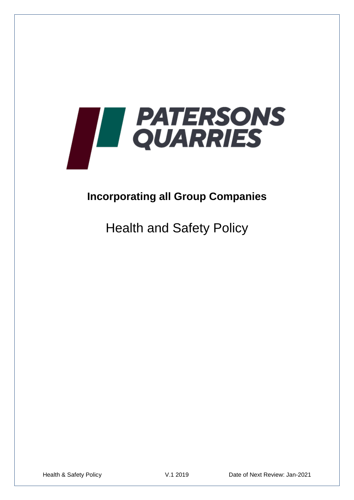

# **Incorporating all Group Companies**

Health and Safety Policy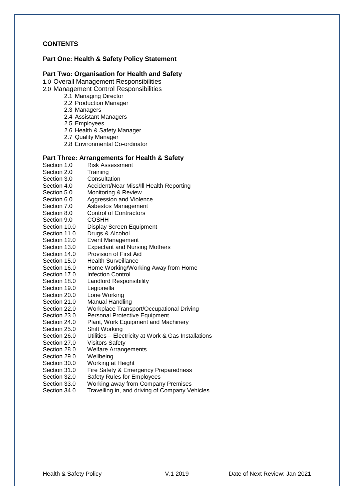### **CONTENTS**

#### **Part One: Health & Safety Policy Statement**

#### **Part Two: Organisation for Health and Safety**

1.0 Overall Management Responsibilities

- 2.0 Management Control Responsibilities
	- 2.1 Managing Director
	- 2.2 Production Manager
	- 2.3 Managers
	- 2.4 Assistant Managers
	- 2.5 Employees
	- 2.6 Health & Safety Manager
	- 2.7 Quality Manager
	- 2.8 Environmental Co-ordinator

#### **Part Three: Arrangements for Health & Safety**

- Section 1.0 Risk Assessment<br>Section 2.0 Training
- Section 2.0
- Section 3.0 Consultation
- Section 4.0 Accident/Near Miss/Ill Health Reporting
- Section 5.0 Monitoring & Review
- Section 6.0 Aggression and Violence
- Section 7.0 Asbestos Management
- Section 8.0 Control of Contractors
- Section 9.0 COSHH
- Section 10.0 Display Screen Equipment
- Section 11.0 Drugs & Alcohol
- Section 12.0 Event Management
- Section 13.0 Expectant and Nursing Mothers
- Section 14.0 Provision of First Aid
- Section 15.0 Health Surveillance
- Section 16.0 Home Working/Working Away from Home
- Section 17.0 Infection Control
- Section 18.0 Landlord Responsibility
- Section 19.0 Legionella
- Section 20.0 Lone Working
- Section 21.0 Manual Handling
- Section 22.0 Workplace Transport/Occupational Driving<br>Section 23.0 Personal Protective Equipment
- Personal Protective Equipment
- Section 24.0 Plant, Work Equipment and Machinery
- Section 25.0 Shift Working<br>Section 26.0 Utilities Fleo
- Utilities Electricity at Work & Gas Installations
- Section 27.0 Visitors Safety
- Section 28.0 Welfare Arrangements
- Section 29.0 Wellbeing
- Section 30.0 Working at Height
- Section 31.0 Fire Safety & Emergency Preparedness
- Section 32.0 Safety Rules for Employees
- Section 33.0 Working away from Company Premises
- Section 34.0 Travelling in, and driving of Company Vehicles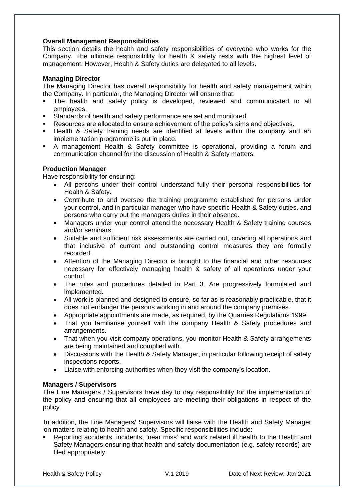#### **Overall Management Responsibilities**

This section details the health and safety responsibilities of everyone who works for the Company. The ultimate responsibility for health & safety rests with the highest level of management. However, Health & Safety duties are delegated to all levels.

#### **Managing Director**

The Managing Director has overall responsibility for health and safety management within the Company. In particular, the Managing Director will ensure that:

- The health and safety policy is developed, reviewed and communicated to all employees.
- Standards of health and safety performance are set and monitored.
- Resources are allocated to ensure achievement of the policy's aims and objectives.
- Health & Safety training needs are identified at levels within the company and an implementation programme is put in place.
- A management Health & Safety committee is operational, providing a forum and communication channel for the discussion of Health & Safety matters.

#### **Production Manager**

Have responsibility for ensuring:

- All persons under their control understand fully their personal responsibilities for Health & Safety.
- Contribute to and oversee the training programme established for persons under your control, and in particular manager who have specific Health & Safety duties, and persons who carry out the managers duties in their absence.
- Managers under your control attend the necessary Health & Safety training courses and/or seminars.
- Suitable and sufficient risk assessments are carried out, covering all operations and that inclusive of current and outstanding control measures they are formally recorded.
- Attention of the Managing Director is brought to the financial and other resources necessary for effectively managing health & safety of all operations under your control.
- The rules and procedures detailed in Part 3. Are progressively formulated and implemented.
- All work is planned and designed to ensure, so far as is reasonably practicable, that it does not endanger the persons working in and around the company premises.
- Appropriate appointments are made, as required, by the Quarries Regulations 1999.
- That you familiarise yourself with the company Health & Safety procedures and arrangements.
- That when you visit company operations, you monitor Health & Safety arrangements are being maintained and complied with.
- Discussions with the Health & Safety Manager, in particular following receipt of safety inspections reports.
- Liaise with enforcing authorities when they visit the company's location.

#### **Managers / Supervisors**

The Line Managers / Supervisors have day to day responsibility for the implementation of the policy and ensuring that all employees are meeting their obligations in respect of the policy.

In addition, the Line Managers/ Supervisors will liaise with the Health and Safety Manager on matters relating to health and safety. Specific responsibilities include:

 Reporting accidents, incidents, 'near miss' and work related ill health to the Health and Safety Managers ensuring that health and safety documentation (e.g. safety records) are filed appropriately.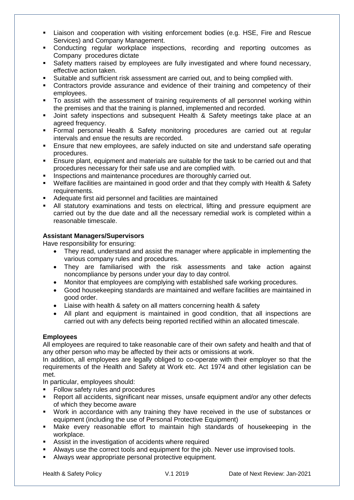- Liaison and cooperation with visiting enforcement bodies (e.g. HSE, Fire and Rescue Services) and Company Management.
- Conducting regular workplace inspections, recording and reporting outcomes as Company procedures dictate
- **Safety matters raised by employees are fully investigated and where found necessary,** effective action taken.
- Suitable and sufficient risk assessment are carried out, and to being complied with.
- Contractors provide assurance and evidence of their training and competency of their employees.
- To assist with the assessment of training requirements of all personnel working within the premises and that the training is planned, implemented and recorded.
- **Joint safety inspections and subsequent Health & Safety meetings take place at an** agreed frequency.
- Formal personal Health & Safety monitoring procedures are carried out at regular intervals and ensue the results are recorded.
- **Ensure that new employees, are safely inducted on site and understand safe operating** procedures.
- Ensure plant, equipment and materials are suitable for the task to be carried out and that procedures necessary for their safe use and are complied with.
- **Inspections and maintenance procedures are thoroughly carried out.**
- Welfare facilities are maintained in good order and that they comply with Health & Safety requirements.
- Adequate first aid personnel and facilities are maintained
- All statutory examinations and tests on electrical, lifting and pressure equipment are carried out by the due date and all the necessary remedial work is completed within a reasonable timescale.

### **Assistant Managers/Supervisors**

Have responsibility for ensuring:

- They read, understand and assist the manager where applicable in implementing the various company rules and procedures.
- They are familiarised with the risk assessments and take action against noncompliance by persons under your day to day control.
- Monitor that employees are complying with established safe working procedures.
- Good housekeeping standards are maintained and welfare facilities are maintained in good order.
- Liaise with health & safety on all matters concerning health & safety
- All plant and equipment is maintained in good condition, that all inspections are carried out with any defects being reported rectified within an allocated timescale.

### **Employees**

All employees are required to take reasonable care of their own safety and health and that of any other person who may be affected by their acts or omissions at work.

In addition, all employees are legally obliged to co-operate with their employer so that the requirements of the Health and Safety at Work etc. Act 1974 and other legislation can be met.

In particular, employees should:

- Follow safety rules and procedures
- Report all accidents, significant near misses, unsafe equipment and/or any other defects of which they become aware
- Work in accordance with any training they have received in the use of substances or equipment (including the use of Personal Protective Equipment)
- Make every reasonable effort to maintain high standards of housekeeping in the workplace.
- Assist in the investigation of accidents where required
- Always use the correct tools and equipment for the job. Never use improvised tools.
- **Always wear appropriate personal protective equipment.**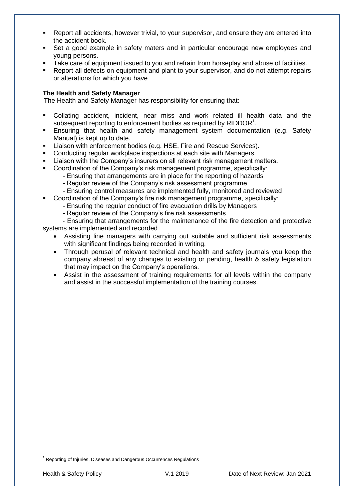- Report all accidents, however trivial, to your supervisor, and ensure they are entered into the accident book.
- Set a good example in safety maters and in particular encourage new employees and young persons.
- Take care of equipment issued to you and refrain from horseplay and abuse of facilities.
- Report all defects on equipment and plant to your supervisor, and do not attempt repairs or alterations for which you have

#### **The Health and Safety Manager**

The Health and Safety Manager has responsibility for ensuring that:

- Collating accident, incident, near miss and work related ill health data and the subsequent reporting to enforcement bodies as required by  $RIDDOR<sup>1</sup>$ .
- Ensuring that health and safety management system documentation (e.g. Safety Manual) is kept up to date.
- Liaison with enforcement bodies (e.g. HSE, Fire and Rescue Services).
- Conducting regular workplace inspections at each site with Managers.
- **EXECT** Liaison with the Company's insurers on all relevant risk management matters.
- Coordination of the Company's risk management programme, specifically:
	- Ensuring that arrangements are in place for the reporting of hazards
	- Regular review of the Company's risk assessment programme
	- Ensuring control measures are implemented fully, monitored and reviewed
- Coordination of the Company's fire risk management programme, specifically:
	- Ensuring the regular conduct of fire evacuation drills by Managers
		- Regular review of the Company's fire risk assessments

 - Ensuring that arrangements for the maintenance of the fire detection and protective systems are implemented and recorded

- Assisting line managers with carrying out suitable and sufficient risk assessments with significant findings being recorded in writing.
- Through perusal of relevant technical and health and safety journals you keep the company abreast of any changes to existing or pending, health & safety legislation that may impact on the Company's operations.
- Assist in the assessment of training requirements for all levels within the company and assist in the successful implementation of the training courses.

1

 $1$  Reporting of Injuries, Diseases and Dangerous Occurrences Regulations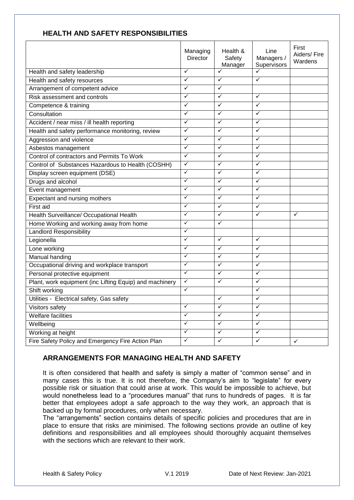|                                                         | Managing<br><b>Director</b> | Health &<br>Safety<br>Manager | Line<br>Managers /<br>Supervisors | First<br>Aiders/Fire<br>Wardens |
|---------------------------------------------------------|-----------------------------|-------------------------------|-----------------------------------|---------------------------------|
| Health and safety leadership                            | $\checkmark$                | $\checkmark$                  | $\checkmark$                      |                                 |
| Health and safety resources                             | $\checkmark$                | $\checkmark$                  | $\checkmark$                      |                                 |
| Arrangement of competent advice                         | $\checkmark$                | $\checkmark$                  |                                   |                                 |
| Risk assessment and controls                            | ✓                           | ✓                             | $\checkmark$                      |                                 |
| Competence & training                                   | ✓                           | ✓                             | $\checkmark$                      |                                 |
| Consultation                                            | $\checkmark$                | ✓                             | $\checkmark$                      |                                 |
| Accident / near miss / ill health reporting             | ✓                           | ✓                             | $\checkmark$                      |                                 |
| Health and safety performance monitoring, review        | ✓                           | ✓                             | $\checkmark$                      |                                 |
| Aggression and violence                                 | ✓                           | ✓                             | ✓                                 |                                 |
| Asbestos management                                     | ✓                           | ✓                             | $\checkmark$                      |                                 |
| Control of contractors and Permits To Work              | $\checkmark$                | ✓                             | $\checkmark$                      |                                 |
| Control of Substances Hazardous to Health (COSHH)       | $\checkmark$                | ✓                             | $\checkmark$                      |                                 |
| Display screen equipment (DSE)                          | $\checkmark$                | $\checkmark$                  | $\checkmark$                      |                                 |
| Drugs and alcohol                                       | $\checkmark$                | ✓                             | $\checkmark$                      |                                 |
| Event management                                        | $\checkmark$                | ✓                             | $\checkmark$                      |                                 |
| Expectant and nursing mothers                           | ✓                           | ✓                             | $\checkmark$                      |                                 |
| First aid                                               | $\checkmark$                | $\checkmark$                  | $\checkmark$                      |                                 |
| Health Surveillance/ Occupational Health                | $\checkmark$                | ✓                             | $\checkmark$                      | ✓                               |
| Home Working and working away from home                 | ✓                           | ✓                             |                                   |                                 |
| <b>Landlord Responsibility</b>                          | ✓                           |                               |                                   |                                 |
| Legionella                                              | ✓                           | ✓                             | $\checkmark$                      |                                 |
| Lone working                                            | ✓                           | ✓                             | $\checkmark$                      |                                 |
| <b>Manual handing</b>                                   | $\checkmark$                | $\checkmark$                  | $\overline{\checkmark}$           |                                 |
| Occupational driving and workplace transport            | $\checkmark$                | ✓                             | $\checkmark$                      |                                 |
| Personal protective equipment                           | $\overline{\checkmark}$     | $\checkmark$                  | $\checkmark$                      |                                 |
| Plant, work equipment (inc Lifting Equip) and machinery | $\checkmark$                | ✓                             | $\checkmark$                      |                                 |
| Shift working                                           | ✓                           |                               | $\checkmark$                      |                                 |
| Utilities - Electrical safety, Gas safety               |                             | ✓                             | $\checkmark$                      |                                 |
| Visitors safety                                         | ✓                           | ✓                             | ✓                                 |                                 |
| <b>Welfare facilities</b>                               | ✓                           | ✓                             | $\checkmark$                      |                                 |
| Wellbeing                                               | $\checkmark$                | ✓                             | $\checkmark$                      |                                 |
| Working at height                                       | $\checkmark$                | ✓                             | $\checkmark$                      |                                 |
| Fire Safety Policy and Emergency Fire Action Plan       | ✓                           | ✓                             | ✓                                 | $\checkmark$                    |

# **HEALTH AND SAFETY RESPONSIBILITIES**

# **ARRANGEMENTS FOR MANAGING HEALTH AND SAFETY**

It is often considered that health and safety is simply a matter of "common sense" and in many cases this is true. It is not therefore, the Company's aim to "legislate" for every possible risk or situation that could arise at work. This would be impossible to achieve, but would nonetheless lead to a "procedures manual" that runs to hundreds of pages. It is far better that employees adopt a safe approach to the way they work, an approach that is backed up by formal procedures, only when necessary.

The "arrangements" section contains details of specific policies and procedures that are in place to ensure that risks are minimised. The following sections provide an outline of key definitions and responsibilities and all employees should thoroughly acquaint themselves with the sections which are relevant to their work.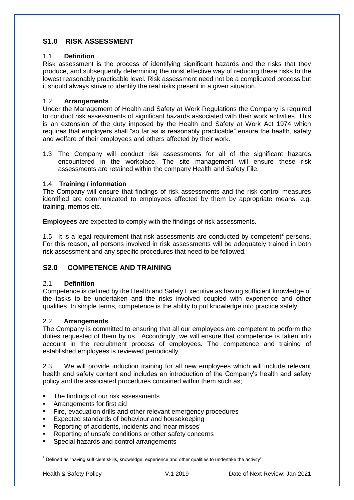# **S1.0 RISK ASSESSMENT**

### 1.1 **Definition**

Risk assessment is the process of identifying significant hazards and the risks that they produce, and subsequently determining the most effective way of reducing these risks to the lowest reasonably practicable level. Risk assessment need not be a complicated process but it should always strive to identify the real risks present in a given situation.

#### 1.2 **Arrangements**

Under the Management of Health and Safety at Work Regulations the Company is required to conduct risk assessments of significant hazards associated with their work activities. This is an extension of the duty imposed by the Health and Safety at Work Act 1974 which requires that employers shall "so far as is reasonably practicable" ensure the health, safety and welfare of their employees and others affected by their work.

1.3 The Company will conduct risk assessments for all of the significant hazards encountered in the workplace. The site management will ensure these risk assessments are retained within the company Health and Safety File.

### 1.4 **Training / information**

The Company will ensure that findings of risk assessments and the risk control measures identified are communicated to employees affected by them by appropriate means, e.g. training, memos etc.

**Employees** are expected to comply with the findings of risk assessments.

1.5 It is a legal requirement that risk assessments are conducted by competent<sup>2</sup> persons. For this reason, all persons involved in risk assessments will be adequately trained in both risk assessment and any specific procedures that need to be followed.

# **S2.0 COMPETENCE AND TRAINING**

#### 2.1 **Definition**

Competence is defined by the Health and Safety Executive as having sufficient knowledge of the tasks to be undertaken and the risks involved coupled with experience and other qualities. In simple terms, competence is the ability to put knowledge into practice safely.

#### 2.2 **Arrangements**

The Company is committed to ensuring that all our employees are competent to perform the duties requested of them by us. Accordingly, we will ensure that competence is taken into account in the recruitment process of employees. The competence and training of established employees is reviewed periodically.

2.3 We will provide induction training for all new employees which will include relevant health and safety content and includes an introduction of the Company's health and safety policy and the associated procedures contained within them such as;

- The findings of our risk assessments
- **Arrangements for first aid**
- **Fire, evacuation drills and other relevant emergency procedures**
- **Expected standards of behaviour and housekeeping**
- Reporting of accidents, incidents and 'near misses'
- **Reporting of unsafe conditions or other safety concerns**
- Special hazards and control arrangements

<sup>1</sup>  $^2$  Defined as "having sufficient skills, knowledge, experience and other qualities to undertake the activity"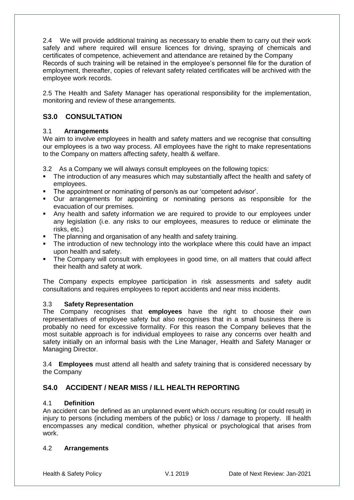2.4 We will provide additional training as necessary to enable them to carry out their work safely and where required will ensure licences for driving, spraying of chemicals and certificates of competence, achievement and attendance are retained by the Company Records of such training will be retained in the employee's personnel file for the duration of employment, thereafter, copies of relevant safety related certificates will be archived with the employee work records.

2.5 The Health and Safety Manager has operational responsibility for the implementation, monitoring and review of these arrangements.

# **S3.0 CONSULTATION**

### 3.1 **Arrangements**

We aim to involve employees in health and safety matters and we recognise that consulting our employees is a two way process. All employees have the right to make representations to the Company on matters affecting safety, health & welfare.

3.2 As a Company we will always consult employees on the following topics:

- The introduction of any measures which may substantially affect the health and safety of employees.
- The appointment or nominating of person/s as our 'competent advisor'.
- Our arrangements for appointing or nominating persons as responsible for the evacuation of our premises.
- Any health and safety information we are required to provide to our employees under any legislation (i.e. any risks to our employees, measures to reduce or eliminate the risks, etc.)
- The planning and organisation of any health and safety training.
- The introduction of new technology into the workplace where this could have an impact upon health and safety.
- The Company will consult with employees in good time, on all matters that could affect their health and safety at work.

The Company expects employee participation in risk assessments and safety audit consultations and requires employees to report accidents and near miss incidents.

#### 3.3 **Safety Representation**

The Company recognises that **employees** have the right to choose their own representatives of employee safety but also recognises that in a small business there is probably no need for excessive formality. For this reason the Company believes that the most suitable approach is for individual employees to raise any concerns over health and safety initially on an informal basis with the Line Manager, Health and Safety Manager or Managing Director.

3.4 **Employees** must attend all health and safety training that is considered necessary by the Company

# **S4.0 ACCIDENT / NEAR MISS / ILL HEALTH REPORTING**

### 4.1 **Definition**

An accident can be defined as an unplanned event which occurs resulting (or could result) in injury to persons (including members of the public) or loss / damage to property. Ill health encompasses any medical condition, whether physical or psychological that arises from work.

#### 4.2 **Arrangements**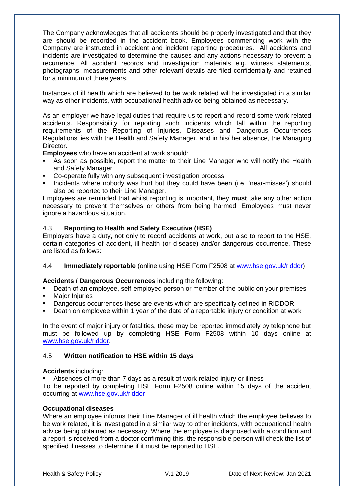The Company acknowledges that all accidents should be properly investigated and that they are should be recorded in the accident book. Employees commencing work with the Company are instructed in accident and incident reporting procedures. All accidents and incidents are investigated to determine the causes and any actions necessary to prevent a recurrence. All accident records and investigation materials e.g. witness statements, photographs, measurements and other relevant details are filed confidentially and retained for a minimum of three years.

Instances of ill health which are believed to be work related will be investigated in a similar way as other incidents, with occupational health advice being obtained as necessary.

As an employer we have legal duties that require us to report and record some work-related accidents. Responsibility for reporting such incidents which fall within the reporting requirements of the Reporting of Injuries, Diseases and Dangerous Occurrences Regulations lies with the Health and Safety Manager, and in his/ her absence, the Managing **Director** 

**Employees** who have an accident at work should:

- As soon as possible, report the matter to their Line Manager who will notify the Health and Safety Manager
- Co-operate fully with any subsequent investigation process
- Incidents where nobody was hurt but they could have been (i.e. 'near-misses') should also be reported to their Line Manager.

Employees are reminded that whilst reporting is important, they **must** take any other action necessary to prevent themselves or others from being harmed. Employees must never ignore a hazardous situation.

#### 4.3 **Reporting to Health and Safety Executive (HSE)**

Employers have a duty, not only to record accidents at work, but also to report to the HSE, certain categories of accident, ill health (or disease) and/or dangerous occurrence. These are listed as follows:

#### 4.4 **Immediately reportable** (online using HSE Form F2508 at [www.hse.gov.uk/riddor\)](http://www.hse.gov.uk/riddor)

**Accidents / Dangerous Occurrences** including the following:

- Death of an employee, self-employed person or member of the public on your premises
- **Major Injuries**
- Dangerous occurrences these are events which are specifically defined in RIDDOR
- Death on employee within 1 year of the date of a reportable injury or condition at work

In the event of major injury or fatalities, these may be reported immediately by telephone but must be followed up by completing HSE Form F2508 within 10 days online at [www.hse.gov.uk/riddor.](http://www.hse.gov.uk/riddor)

#### 4.5 **Written notification to HSE within 15 days**

#### **Accidents** including:

Absences of more than 7 days as a result of work related injury or illness

To be reported by completing HSE Form F2508 online within 15 days of the accident occurring at [www.hse.gov.uk/riddor](http://www.hse.gov.uk/riddor)

### **Occupational diseases**

Where an employee informs their Line Manager of ill health which the employee believes to be work related, it is investigated in a similar way to other incidents, with occupational health advice being obtained as necessary. Where the employee is diagnosed with a condition and a report is received from a doctor confirming this, the responsible person will check the list of specified illnesses to determine if it must be reported to HSE.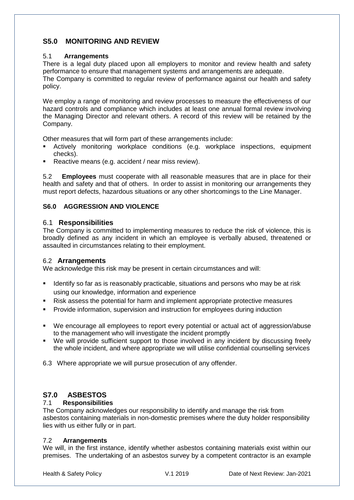# **S5.0 MONITORING AND REVIEW**

### 5.1 **Arrangements**

There is a legal duty placed upon all employers to monitor and review health and safety performance to ensure that management systems and arrangements are adequate. The Company is committed to regular review of performance against our health and safety policy.

We employ a range of monitoring and review processes to measure the effectiveness of our hazard controls and compliance which includes at least one annual formal review involving the Managing Director and relevant others. A record of this review will be retained by the Company.

Other measures that will form part of these arrangements include:

- Actively monitoring workplace conditions (e.g. workplace inspections, equipment checks).
- Reactive means (e.g. accident / near miss review).

5.2 **Employees** must cooperate with all reasonable measures that are in place for their health and safety and that of others. In order to assist in monitoring our arrangements they must report defects, hazardous situations or any other shortcomings to the Line Manager.

# **S6.0 AGGRESSION AND VIOLENCE**

# 6.1 **Responsibilities**

The Company is committed to implementing measures to reduce the risk of violence, this is broadly defined as any incident in which an employee is verbally abused, threatened or assaulted in circumstances relating to their employment.

### 6.2 **Arrangements**

We acknowledge this risk may be present in certain circumstances and will:

- Identify so far as is reasonably practicable, situations and persons who may be at risk using our knowledge, information and experience
- Risk assess the potential for harm and implement appropriate protective measures
- Provide information, supervision and instruction for employees during induction
- We encourage all employees to report every potential or actual act of aggression/abuse to the management who will investigate the incident promptly
- We will provide sufficient support to those involved in any incident by discussing freely the whole incident, and where appropriate we will utilise confidential counselling services

6.3 Where appropriate we will pursue prosecution of any offender.

# **S7.0 ASBESTOS**

### 7.1 **Responsibilities**

The Company acknowledges our responsibility to identify and manage the risk from asbestos containing materials in non-domestic premises where the duty holder responsibility lies with us either fully or in part.

### 7.2 **Arrangements**

We will, in the first instance, identify whether asbestos containing materials exist within our premises. The undertaking of an asbestos survey by a competent contractor is an example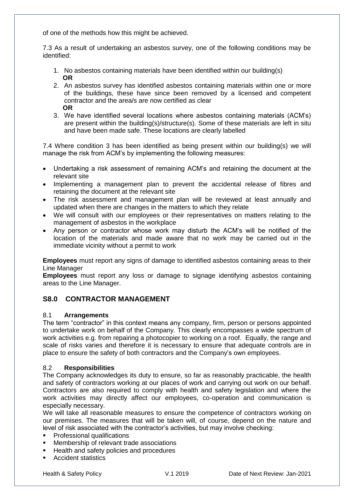of one of the methods how this might be achieved.

7.3 As a result of undertaking an asbestos survey, one of the following conditions may be identified:

- 1. No asbestos containing materials have been identified within our building(s)  **OR**
- 2. An asbestos survey has identified asbestos containing materials within one or more of the buildings, these have since been removed by a licensed and competent contractor and the area/s are now certified as clear  **OR**
- 3. We have identified several locations where asbestos containing materials (ACM's) are present within the building(s)/structure(s). Some of these materials are left in situ and have been made safe. These locations are clearly labelled

7.4 Where condition 3 has been identified as being present within our building(s) we will manage the risk from ACM's by implementing the following measures:

- Undertaking a risk assessment of remaining ACM's and retaining the document at the relevant site
- Implementing a management plan to prevent the accidental release of fibres and retaining the document at the relevant site
- The risk assessment and management plan will be reviewed at least annually and updated when there are changes in the matters to which they relate
- We will consult with our employees or their representatives on matters relating to the management of asbestos in the workplace
- Any person or contractor whose work may disturb the ACM's will be notified of the location of the materials and made aware that no work may be carried out in the immediate vicinity without a permit to work

**Employees** must report any signs of damage to identified asbestos containing areas to their Line Manager

**Employees** must report any loss or damage to signage identifying asbestos containing areas to the Line Manager.

# **S8.0 CONTRACTOR MANAGEMENT**

#### 8.1 **Arrangements**

The term "contractor" in this context means any company, firm, person or persons appointed to undertake work on behalf of the Company. This clearly encompasses a wide spectrum of work activities e.g. from repairing a photocopier to working on a roof. Equally, the range and scale of risks varies and therefore it is necessary to ensure that adequate controls are in place to ensure the safety of both contractors and the Company's own employees.

#### 8.2 **Responsibilities**

The Company acknowledges its duty to ensure, so far as reasonably practicable, the health and safety of contractors working at our places of work and carrying out work on our behalf. Contractors are also required to comply with health and safety legislation and where the work activities may directly affect our employees, co-operation and communication is especially necessary.

We will take all reasonable measures to ensure the competence of contractors working on our premises. The measures that will be taken will, of course, depend on the nature and level of risk associated with the contractor's activities, but may involve checking:

- **•** Professional qualifications
- **Membership of relevant trade associations**
- Health and safety policies and procedures
- Accident statistics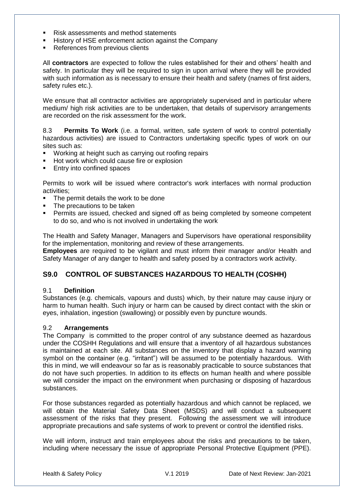- Risk assessments and method statements
- History of HSE enforcement action against the Company
- **References from previous clients**

All **contractors** are expected to follow the rules established for their and others' health and safety. In particular they will be required to sign in upon arrival where they will be provided with such information as is necessary to ensure their health and safety (names of first aiders, safety rules etc.).

We ensure that all contractor activities are appropriately supervised and in particular where medium/ high risk activities are to be undertaken, that details of supervisory arrangements are recorded on the risk assessment for the work.

8.3 **Permits To Work** (i.e. a formal, written, safe system of work to control potentially hazardous activities) are issued to Contractors undertaking specific types of work on our sites such as:

- Working at height such as carrying out roofing repairs
- Hot work which could cause fire or explosion
- **Entry into confined spaces**

Permits to work will be issued where contractor's work interfaces with normal production activities;

- The permit details the work to be done
- The precautions to be taken
- Permits are issued, checked and signed off as being completed by someone competent to do so, and who is not involved in undertaking the work

The Health and Safety Manager, Managers and Supervisors have operational responsibility for the implementation, monitoring and review of these arrangements.

**Employees** are required to be vigilant and must inform their manager and/or Health and Safety Manager of any danger to health and safety posed by a contractors work activity.

# **S9.0 CONTROL OF SUBSTANCES HAZARDOUS TO HEALTH (COSHH)**

#### 9.1 **Definition**

Substances (e.g. chemicals, vapours and dusts) which, by their nature may cause injury or harm to human health. Such injury or harm can be caused by direct contact with the skin or eyes, inhalation, ingestion (swallowing) or possibly even by puncture wounds.

#### 9.2 **Arrangements**

The Company is committed to the proper control of any substance deemed as hazardous under the COSHH Regulations and will ensure that a inventory of all hazardous substances is maintained at each site. All substances on the inventory that display a hazard warning symbol on the container (e.g. "irritant") will be assumed to be potentially hazardous. With this in mind, we will endeavour so far as is reasonably practicable to source substances that do not have such properties. In addition to its effects on human health and where possible we will consider the impact on the environment when purchasing or disposing of hazardous substances.

For those substances regarded as potentially hazardous and which cannot be replaced, we will obtain the Material Safety Data Sheet (MSDS) and will conduct a subsequent assessment of the risks that they present. Following the assessment we will introduce appropriate precautions and safe systems of work to prevent or control the identified risks.

We will inform, instruct and train employees about the risks and precautions to be taken, including where necessary the issue of appropriate Personal Protective Equipment (PPE).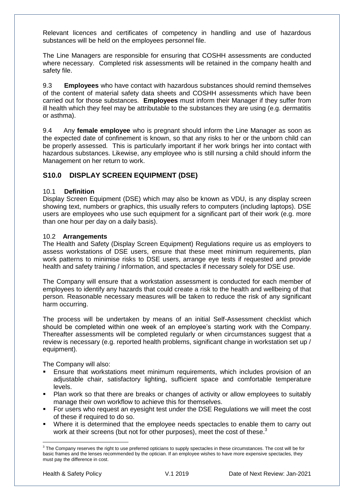Relevant licences and certificates of competency in handling and use of hazardous substances will be held on the employees personnel file.

The Line Managers are responsible for ensuring that COSHH assessments are conducted where necessary. Completed risk assessments will be retained in the company health and safety file.

9.3 **Employees** who have contact with hazardous substances should remind themselves of the content of material safety data sheets and COSHH assessments which have been carried out for those substances. **Employees** must inform their Manager if they suffer from ill health which they feel may be attributable to the substances they are using (e.g. dermatitis or asthma).

9.4 Any **female employee** who is pregnant should inform the Line Manager as soon as the expected date of confinement is known, so that any risks to her or the unborn child can be properly assessed. This is particularly important if her work brings her into contact with hazardous substances. Likewise, any employee who is still nursing a child should inform the Management on her return to work.

# **S10.0 DISPLAY SCREEN EQUIPMENT (DSE)**

### 10.1 **Definition**

Display Screen Equipment (DSE) which may also be known as VDU, is any display screen showing text, numbers or graphics, this usually refers to computers (including laptops). DSE users are employees who use such equipment for a significant part of their work (e.g. more than one hour per day on a daily basis).

#### 10.2 **Arrangements**

The Health and Safety (Display Screen Equipment) Regulations require us as employers to assess workstations of DSE users, ensure that these meet minimum requirements, plan work patterns to minimise risks to DSE users, arrange eye tests if requested and provide health and safety training / information, and spectacles if necessary solely for DSE use.

The Company will ensure that a workstation assessment is conducted for each member of employees to identify any hazards that could create a risk to the health and wellbeing of that person. Reasonable necessary measures will be taken to reduce the risk of any significant harm occurring.

The process will be undertaken by means of an initial Self-Assessment checklist which should be completed within one week of an employee's starting work with the Company. Thereafter assessments will be completed regularly or when circumstances suggest that a review is necessary (e.g. reported health problems, significant change in workstation set up / equipment).

The Company will also:

- Ensure that workstations meet minimum requirements, which includes provision of an adjustable chair, satisfactory lighting, sufficient space and comfortable temperature levels.
- Plan work so that there are breaks or changes of activity or allow employees to suitably manage their own workflow to achieve this for themselves.
- For users who request an eyesight test under the DSE Regulations we will meet the cost of these if required to do so.
- Where it is determined that the employee needs spectacles to enable them to carry out work at their screens (but not for other purposes), meet the cost of these.<sup>3</sup>

 3 The Company reserves the right to use preferred opticians to supply spectacles in these circumstances. The cost will be for basic frames and the lenses recommended by the optician. If an employee wishes to have more expensive spectacles, they must pay the difference in cost.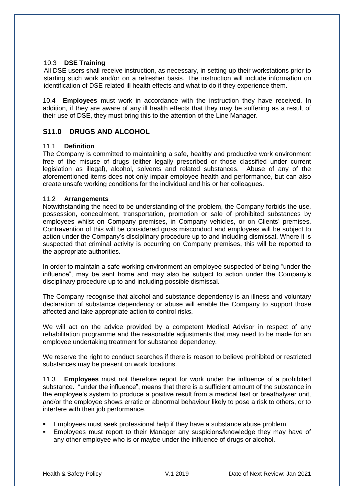### 10.3 **DSE Training**

All DSE users shall receive instruction, as necessary, in setting up their workstations prior to starting such work and/or on a refresher basis. The instruction will include information on identification of DSE related ill health effects and what to do if they experience them.

10.4 **Employees** must work in accordance with the instruction they have received. In addition, if they are aware of any ill health effects that they may be suffering as a result of their use of DSE, they must bring this to the attention of the Line Manager.

# **S11.0 DRUGS AND ALCOHOL**

#### 11.1 **Definition**

The Company is committed to maintaining a safe, healthy and productive work environment free of the misuse of drugs (either legally prescribed or those classified under current legislation as illegal), alcohol, solvents and related substances. Abuse of any of the aforementioned items does not only impair employee health and performance, but can also create unsafe working conditions for the individual and his or her colleagues.

#### 11.2 **Arrangements**

Notwithstanding the need to be understanding of the problem, the Company forbids the use, possession, concealment, transportation, promotion or sale of prohibited substances by employees whilst on Company premises, in Company vehicles, or on Clients' premises. Contravention of this will be considered gross misconduct and employees will be subject to action under the Company's disciplinary procedure up to and including dismissal. Where it is suspected that criminal activity is occurring on Company premises, this will be reported to the appropriate authorities.

In order to maintain a safe working environment an employee suspected of being "under the influence", may be sent home and may also be subject to action under the Company's disciplinary procedure up to and including possible dismissal.

The Company recognise that alcohol and substance dependency is an illness and voluntary declaration of substance dependency or abuse will enable the Company to support those affected and take appropriate action to control risks.

We will act on the advice provided by a competent Medical Advisor in respect of any rehabilitation programme and the reasonable adjustments that may need to be made for an employee undertaking treatment for substance dependency.

We reserve the right to conduct searches if there is reason to believe prohibited or restricted substances may be present on work locations.

11.3 **Employees** must not therefore report for work under the influence of a prohibited substance. "under the influence", means that there is a sufficient amount of the substance in the employee's system to produce a positive result from a medical test or breathalyser unit, and/or the employee shows erratic or abnormal behaviour likely to pose a risk to others, or to interfere with their job performance.

- Employees must seek professional help if they have a substance abuse problem.
- Employees must report to their Manager any suspicions/knowledge they may have of any other employee who is or maybe under the influence of drugs or alcohol.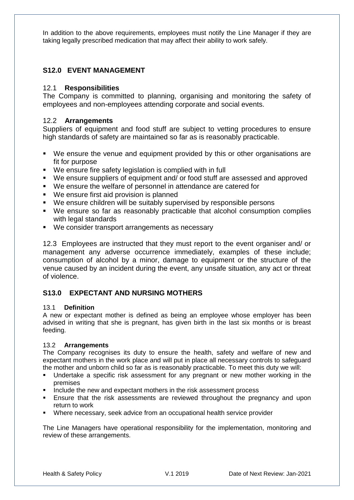In addition to the above requirements, employees must notify the Line Manager if they are taking legally prescribed medication that may affect their ability to work safely.

# **S12.0 EVENT MANAGEMENT**

### 12.1 **Responsibilities**

The Company is committed to planning, organising and monitoring the safety of employees and non-employees attending corporate and social events.

### 12.2 **Arrangements**

Suppliers of equipment and food stuff are subject to vetting procedures to ensure high standards of safety are maintained so far as is reasonably practicable.

- We ensure the venue and equipment provided by this or other organisations are fit for purpose
- We ensure fire safety legislation is complied with in full
- We ensure suppliers of equipment and/ or food stuff are assessed and approved
- We ensure the welfare of personnel in attendance are catered for
- We ensure first aid provision is planned
- We ensure children will be suitably supervised by responsible persons
- We ensure so far as reasonably practicable that alcohol consumption complies with legal standards
- We consider transport arrangements as necessary

12.3 Employees are instructed that they must report to the event organiser and/ or management any adverse occurrence immediately, examples of these include; consumption of alcohol by a minor, damage to equipment or the structure of the venue caused by an incident during the event, any unsafe situation, any act or threat of violence.

# **S13.0 EXPECTANT AND NURSING MOTHERS**

#### 13.1 **Definition**

A new or expectant mother is defined as being an employee whose employer has been advised in writing that she is pregnant, has given birth in the last six months or is breast feeding.

### 13.2 **Arrangements**

The Company recognises its duty to ensure the health, safety and welfare of new and expectant mothers in the work place and will put in place all necessary controls to safeguard the mother and unborn child so far as is reasonably practicable. To meet this duty we will:

- Undertake a specific risk assessment for any pregnant or new mother working in the premises
- **Include the new and expectant mothers in the risk assessment process**
- **Ensure that the risk assessments are reviewed throughout the pregnancy and upon** return to work
- Where necessary, seek advice from an occupational health service provider

The Line Managers have operational responsibility for the implementation, monitoring and review of these arrangements.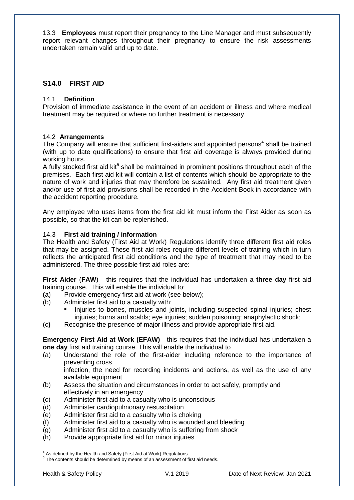13.3 **Employees** must report their pregnancy to the Line Manager and must subsequently report relevant changes throughout their pregnancy to ensure the risk assessments undertaken remain valid and up to date.

# **S14.0 FIRST AID**

#### 14.1 **Definition**

Provision of immediate assistance in the event of an accident or illness and where medical treatment may be required or where no further treatment is necessary.

#### 14.2 **Arrangements**

The Company will ensure that sufficient first-aiders and appointed persons<sup>4</sup> shall be trained (with up to date qualifications) to ensure that first aid coverage is always provided during working hours.

A fully stocked first aid kit<sup>5</sup> shall be maintained in prominent positions throughout each of the premises. Each first aid kit will contain a list of contents which should be appropriate to the nature of work and injuries that may therefore be sustained. Any first aid treatment given and/or use of first aid provisions shall be recorded in the Accident Book in accordance with the accident reporting procedure.

Any employee who uses items from the first aid kit must inform the First Aider as soon as possible, so that the kit can be replenished.

#### 14.3 **First aid training / information**

The Health and Safety (First Aid at Work) Regulations identify three different first aid roles that may be assigned. These first aid roles require different levels of training which in turn reflects the anticipated first aid conditions and the type of treatment that may need to be administered. The three possible first aid roles are:

**First Aider** (**FAW**) - this requires that the individual has undertaken a **three day** first aid training course. This will enable the individual to:

- **(**a) Provide emergency first aid at work (see below);
- (b) Administer first aid to a casualty with:
	- Injuries to bones, muscles and joints, including suspected spinal injuries; chest injuries; burns and scalds; eye injuries; sudden poisoning; anaphylactic shock;
- (c**)** Recognise the presence of major illness and provide appropriate first aid.

**Emergency First Aid at Work (EFAW)** - this requires that the individual has undertaken a **one day** first aid training course. This will enable the individual to

(a) Understand the role of the first-aider including reference to the importance of preventing cross

infection, the need for recording incidents and actions, as well as the use of any available equipment

- (b) Assess the situation and circumstances in order to act safely, promptly and effectively in an emergency
- **(**c) Administer first aid to a casualty who is unconscious
- (d) Administer cardiopulmonary resuscitation
- (e) Administer first aid to a casualty who is choking
- (f) Administer first aid to a casualty who is wounded and bleeding
- (g) Administer first aid to a casualty who is suffering from shock
- (h) Provide appropriate first aid for minor injuries

1

<sup>&</sup>lt;sup>4</sup> As defined by the Health and Safety (First Aid at Work) Regulations

<sup>&</sup>lt;sup>5</sup> The contents should be determined by means of an assessment of first aid needs.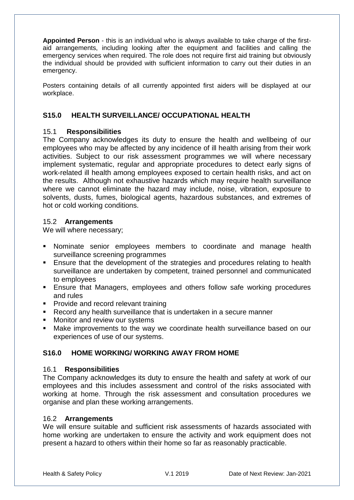**Appointed Person** - this is an individual who is always available to take charge of the firstaid arrangements, including looking after the equipment and facilities and calling the emergency services when required. The role does not require first aid training but obviously the individual should be provided with sufficient information to carry out their duties in an emergency.

Posters containing details of all currently appointed first aiders will be displayed at our workplace.

# **S15.0 HEALTH SURVEILLANCE/ OCCUPATIONAL HEALTH**

# 15.1 **Responsibilities**

The Company acknowledges its duty to ensure the health and wellbeing of our employees who may be affected by any incidence of ill health arising from their work activities. Subject to our risk assessment programmes we will where necessary implement systematic, regular and appropriate procedures to detect early signs of work-related ill health among employees exposed to certain health risks, and act on the results. Although not exhaustive hazards which may require health surveillance where we cannot eliminate the hazard may include, noise, vibration, exposure to solvents, dusts, fumes, biological agents, hazardous substances, and extremes of hot or cold working conditions.

### 15.2 **Arrangements**

We will where necessary;

- Nominate senior employees members to coordinate and manage health surveillance screening programmes
- **Ensure that the development of the strategies and procedures relating to health** surveillance are undertaken by competent, trained personnel and communicated to employees
- **Ensure that Managers, employees and others follow safe working procedures** and rules
- **Provide and record relevant training**
- Record any health surveillance that is undertaken in a secure manner
- **Monitor and review our systems**
- Make improvements to the way we coordinate health surveillance based on our experiences of use of our systems.

# **S16.0 HOME WORKING/ WORKING AWAY FROM HOME**

### 16.1 **Responsibilities**

The Company acknowledges its duty to ensure the health and safety at work of our employees and this includes assessment and control of the risks associated with working at home. Through the risk assessment and consultation procedures we organise and plan these working arrangements.

### 16.2 **Arrangements**

We will ensure suitable and sufficient risk assessments of hazards associated with home working are undertaken to ensure the activity and work equipment does not present a hazard to others within their home so far as reasonably practicable.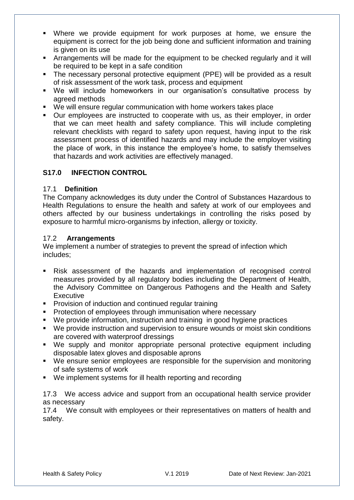- Where we provide equipment for work purposes at home, we ensure the equipment is correct for the job being done and sufficient information and training is given on its use
- Arrangements will be made for the equipment to be checked regularly and it will be required to be kept in a safe condition
- The necessary personal protective equipment (PPE) will be provided as a result of risk assessment of the work task, process and equipment
- We will include homeworkers in our organisation's consultative process by agreed methods
- We will ensure regular communication with home workers takes place
- Our employees are instructed to cooperate with us, as their employer, in order that we can meet health and safety compliance. This will include completing relevant checklists with regard to safety upon request, having input to the risk assessment process of identified hazards and may include the employer visiting the place of work, in this instance the employee's home, to satisfy themselves that hazards and work activities are effectively managed.

# **S17.0 INFECTION CONTROL**

### 17.1 **Definition**

The Company acknowledges its duty under the Control of Substances Hazardous to Health Regulations to ensure the health and safety at work of our employees and others affected by our business undertakings in controlling the risks posed by exposure to harmful micro-organisms by infection, allergy or toxicity.

### 17.2 **Arrangements**

We implement a number of strategies to prevent the spread of infection which includes;

- Risk assessment of the hazards and implementation of recognised control measures provided by all regulatory bodies including the Department of Health, the Advisory Committee on Dangerous Pathogens and the Health and Safety **Executive**
- **Provision of induction and continued regular training**
- **Protection of employees through immunisation where necessary**
- We provide information, instruction and training in good hygiene practices
- We provide instruction and supervision to ensure wounds or moist skin conditions are covered with waterproof dressings
- We supply and monitor appropriate personal protective equipment including disposable latex gloves and disposable aprons
- We ensure senior employees are responsible for the supervision and monitoring of safe systems of work
- We implement systems for ill health reporting and recording

17.3 We access advice and support from an occupational health service provider as necessary

17.4 We consult with employees or their representatives on matters of health and safety.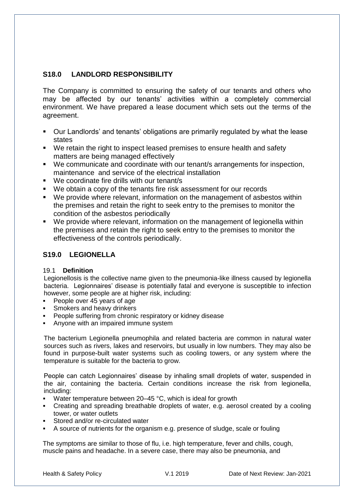# **S18.0 LANDLORD RESPONSIBILITY**

The Company is committed to ensuring the safety of our tenants and others who may be affected by our tenants' activities within a completely commercial environment. We have prepared a lease document which sets out the terms of the agreement.

- Our Landlords' and tenants' obligations are primarily regulated by what the lease states
- We retain the right to inspect leased premises to ensure health and safety matters are being managed effectively
- We communicate and coordinate with our tenant/s arrangements for inspection, maintenance and service of the electrical installation
- We coordinate fire drills with our tenant/s
- We obtain a copy of the tenants fire risk assessment for our records
- We provide where relevant, information on the management of asbestos within the premises and retain the right to seek entry to the premises to monitor the condition of the asbestos periodically
- We provide where relevant, information on the management of legionella within the premises and retain the right to seek entry to the premises to monitor the effectiveness of the controls periodically.

# **S19.0 LEGIONELLA**

### 19.1 **Definition**

Legionellosis is the collective name given to the pneumonia-like illness caused by legionella bacteria. Legionnaires' disease is potentially fatal and everyone is susceptible to infection however, some people are at higher risk, including:

- People over 45 years of age
- Smokers and heavy drinkers
- People suffering from chronic respiratory or kidney disease
- Anyone with an impaired immune system

The bacterium Legionella pneumophila and related bacteria are common in natural water sources such as rivers, lakes and reservoirs, but usually in low numbers. They may also be found in purpose-built water systems such as cooling towers, or any system where the temperature is suitable for the bacteria to grow.

People can catch Legionnaires' disease by inhaling small droplets of water, suspended in the air, containing the bacteria. Certain conditions increase the risk from legionella, including:

- Water temperature between  $20-45$  °C, which is ideal for growth
- Creating and spreading breathable droplets of water, e.g. aerosol created by a cooling tower, or water outlets
- Stored and/or re-circulated water
- A source of nutrients for the organism e.g. presence of sludge, scale or fouling

The symptoms are similar to those of flu, i.e. high temperature, fever and chills, cough, muscle pains and headache. In a severe case, there may also be pneumonia, and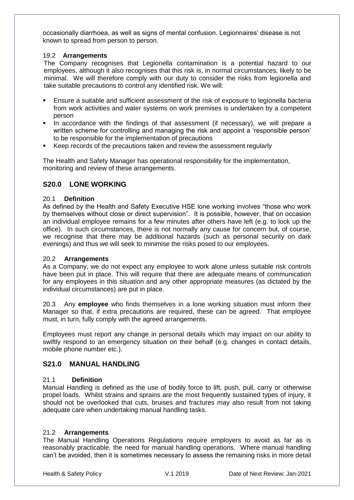occasionally diarrhoea, as well as signs of mental confusion. Legionnaires' disease is not known to spread from person to person.

#### 19.2 **Arrangements**

The Company recognises that Legionella contamination is a potential hazard to our employees, although it also recognises that this risk is, in normal circumstances, likely to be minimal. We will therefore comply with our duty to consider the risks from legionella and take suitable precautions to control any identified risk. We will:

- Ensure a suitable and sufficient assessment of the risk of exposure to legionella bacteria from work activities and water systems on work premises is undertaken by a competent person
- In accordance with the findings of that assessment (if necessary), we will prepare a written scheme for controlling and managing the risk and appoint a 'responsible person' to be responsible for the implementation of precautions
- Keep records of the precautions taken and review the assessment regularly

The Health and Safety Manager has operational responsibility for the implementation, monitoring and review of these arrangements.

# **S20.0 LONE WORKING**

#### 20.1 **Definition**

As defined by the Health and Safety Executive HSE lone working involves "those who work by themselves without close or direct supervision". It is possible, however, that on occasion an individual employee remains for a few minutes after others have left (e.g. to lock up the office). In such circumstances, there is not normally any cause for concern but, of course, we recognise that there may be additional hazards (such as personal security on dark evenings) and thus we will seek to minimise the risks posed to our employees.

#### 20.2 **Arrangements**

As a Company, we do not expect any employee to work alone unless suitable risk controls have been put in place. This will require that there are adequate means of communication for any employees in this situation and any other appropriate measures (as dictated by the individual circumstances) are put in place.

20.3 Any **employee** who finds themselves in a lone working situation must inform their Manager so that, if extra precautions are required, these can be agreed. That employee must, in turn, fully comply with the agreed arrangements.

Employees must report any change in personal details which may impact on our ability to swiftly respond to an emergency situation on their behalf (e.g. changes in contact details, mobile phone number etc.).

# **S21.0 MANUAL HANDLING**

### 21.1 **Definition**

Manual Handling is defined as the use of bodily force to lift, push, pull, carry or otherwise propel loads. Whilst strains and sprains are the most frequently sustained types of injury, it should not be overlooked that cuts, bruises and fractures may also result from not taking adequate care when undertaking manual handling tasks.

#### 21.2 **Arrangements**

The Manual Handling Operations Regulations require employers to avoid as far as is reasonably practicable, the need for manual handling operations. Where manual handling can't be avoided, then it is sometimes necessary to assess the remaining risks in more detail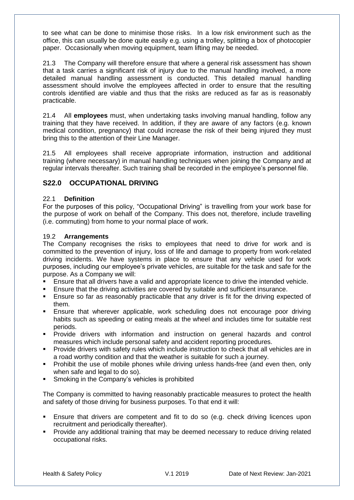to see what can be done to minimise those risks. In a low risk environment such as the office, this can usually be done quite easily e.g. using a trolley, splitting a box of photocopier paper. Occasionally when moving equipment, team lifting may be needed.

21.3 The Company will therefore ensure that where a general risk assessment has shown that a task carries a significant risk of injury due to the manual handling involved, a more detailed manual handling assessment is conducted. This detailed manual handling assessment should involve the employees affected in order to ensure that the resulting controls identified are viable and thus that the risks are reduced as far as is reasonably practicable.

21.4 All **employees** must, when undertaking tasks involving manual handling, follow any training that they have received. In addition, if they are aware of any factors (e.g. known medical condition, pregnancy) that could increase the risk of their being injured they must bring this to the attention of their Line Manager.

21.5 All employees shall receive appropriate information, instruction and additional training (where necessary) in manual handling techniques when joining the Company and at regular intervals thereafter. Such training shall be recorded in the employee's personnel file.

# **S22.0 OCCUPATIONAL DRIVING**

### 22.1 **Definition**

For the purposes of this policy, "Occupational Driving" is travelling from your work base for the purpose of work on behalf of the Company. This does not, therefore, include travelling (i.e. commuting) from home to your normal place of work.

### 19.2 **Arrangements**

The Company recognises the risks to employees that need to drive for work and is committed to the prevention of injury, loss of life and damage to property from work-related driving incidents. We have systems in place to ensure that any vehicle used for work purposes, including our employee's private vehicles, are suitable for the task and safe for the purpose. As a Company we will:

- Ensure that all drivers have a valid and appropriate licence to drive the intended vehicle.
- Ensure that the driving activities are covered by suitable and sufficient insurance.
- Ensure so far as reasonably practicable that any driver is fit for the driving expected of them.
- Ensure that wherever applicable, work scheduling does not encourage poor driving habits such as speeding or eating meals at the wheel and includes time for suitable rest periods.
- Provide drivers with information and instruction on general hazards and control measures which include personal safety and accident reporting procedures.
- Provide drivers with safety rules which include instruction to check that all vehicles are in a road worthy condition and that the weather is suitable for such a journey.
- Prohibit the use of mobile phones while driving unless hands-free (and even then, only when safe and legal to do so).
- **Smoking in the Company's vehicles is prohibited**

The Company is committed to having reasonably practicable measures to protect the health and safety of those driving for business purposes. To that end it will:

- **Ensure that drivers are competent and fit to do so (e.g. check driving licences upon** recruitment and periodically thereafter).
- **Provide any additional training that may be deemed necessary to reduce driving related** occupational risks.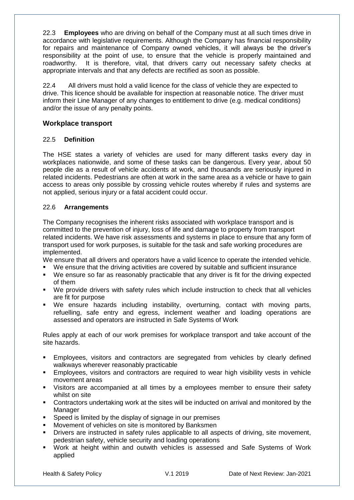22.3 **Employees** who are driving on behalf of the Company must at all such times drive in accordance with legislative requirements. Although the Company has financial responsibility for repairs and maintenance of Company owned vehicles, it will always be the driver's responsibility at the point of use, to ensure that the vehicle is properly maintained and roadworthy. It is therefore, vital, that drivers carry out necessary safety checks at appropriate intervals and that any defects are rectified as soon as possible.

22.4 All drivers must hold a valid licence for the class of vehicle they are expected to drive. This licence should be available for inspection at reasonable notice. The driver must inform their Line Manager of any changes to entitlement to drive (e.g. medical conditions) and/or the issue of any penalty points.

### **Workplace transport**

### 22.5 **Definition**

The HSE states a variety of vehicles are used for many different tasks every day in workplaces nationwide, and some of these tasks can be dangerous. Every year, about 50 people die as a result of vehicle accidents at work, and thousands are seriously injured in related incidents. Pedestrians are often at work in the same area as a vehicle or have to gain access to areas only possible by crossing vehicle routes whereby if rules and systems are not applied, serious injury or a fatal accident could occur.

### 22.6 **Arrangements**

The Company recognises the inherent risks associated with workplace transport and is committed to the prevention of injury, loss of life and damage to property from transport related incidents. We have risk assessments and systems in place to ensure that any form of transport used for work purposes, is suitable for the task and safe working procedures are implemented.

We ensure that all drivers and operators have a valid licence to operate the intended vehicle.

We ensure that the driving activities are covered by suitable and sufficient insurance

- We ensure so far as reasonably practicable that any driver is fit for the driving expected of them
- We provide drivers with safety rules which include instruction to check that all vehicles are fit for purpose
- We ensure hazards including instability, overturning, contact with moving parts, refuelling, safe entry and egress, inclement weather and loading operations are assessed and operators are instructed in Safe Systems of Work

Rules apply at each of our work premises for workplace transport and take account of the site hazards.

- Employees, visitors and contractors are segregated from vehicles by clearly defined walkways wherever reasonably practicable
- Employees, visitors and contractors are required to wear high visibility vests in vehicle movement areas
- Visitors are accompanied at all times by a employees member to ensure their safety whilst on site
- Contractors undertaking work at the sites will be inducted on arrival and monitored by the Manager
- $\blacksquare$  Speed is limited by the display of signage in our premises
- Movement of vehicles on site is monitored by Banksmen
- **•** Drivers are instructed in safety rules applicable to all aspects of driving, site movement, pedestrian safety, vehicle security and loading operations
- Work at height within and outwith vehicles is assessed and Safe Systems of Work applied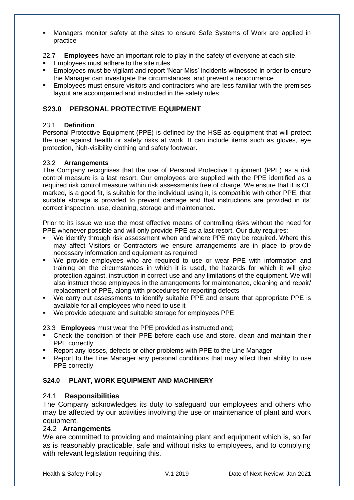- Managers monitor safety at the sites to ensure Safe Systems of Work are applied in practice
- 22.7 **Employees** have an important role to play in the safety of everyone at each site.
- **Employees must adhere to the site rules**
- Employees must be vigilant and report 'Near Miss' incidents witnessed in order to ensure the Manager can investigate the circumstances and prevent a reoccurrence
- Employees must ensure visitors and contractors who are less familiar with the premises layout are accompanied and instructed in the safety rules

# **S23.0 PERSONAL PROTECTIVE EQUIPMENT**

### 23.1 **Definition**

Personal Protective Equipment (PPE) is defined by the HSE as equipment that will protect the user against health or safety risks at work. It can include items such as gloves, eye protection, high-visibility clothing and safety footwear.

### 23.2 **Arrangements**

The Company recognises that the use of Personal Protective Equipment (PPE) as a risk control measure is a last resort. Our employees are supplied with the PPE identified as a required risk control measure within risk assessments free of charge. We ensure that it is CE marked, is a good fit, is suitable for the individual using it, is compatible with other PPE, that suitable storage is provided to prevent damage and that instructions are provided in its' correct inspection, use, cleaning, storage and maintenance.

Prior to its issue we use the most effective means of controlling risks without the need for PPE whenever possible and will only provide PPE as a last resort. Our duty requires;

- We identify through risk assessment when and where PPE may be required. Where this may affect Visitors or Contractors we ensure arrangements are in place to provide necessary information and equipment as required
- We provide employees who are required to use or wear PPE with information and training on the circumstances in which it is used, the hazards for which it will give protection against, instruction in correct use and any limitations of the equipment. We will also instruct those employees in the arrangements for maintenance, cleaning and repair/ replacement of PPE, along with procedures for reporting defects
- We carry out assessments to identify suitable PPE and ensure that appropriate PPE is available for all employees who need to use it
- We provide adequate and suitable storage for employees PPE

23.3 **Employees** must wear the PPE provided as instructed and;

- Check the condition of their PPE before each use and store, clean and maintain their PPE correctly
- Report any losses, defects or other problems with PPE to the Line Manager
- Report to the Line Manager any personal conditions that may affect their ability to use PPE correctly

# **S24.0 PLANT, WORK EQUIPMENT AND MACHINERY**

# 24.1 **Responsibilities**

The Company acknowledges its duty to safeguard our employees and others who may be affected by our activities involving the use or maintenance of plant and work equipment.

# 24.2 **Arrangements**

We are committed to providing and maintaining plant and equipment which is, so far as is reasonably practicable, safe and without risks to employees, and to complying with relevant legislation requiring this.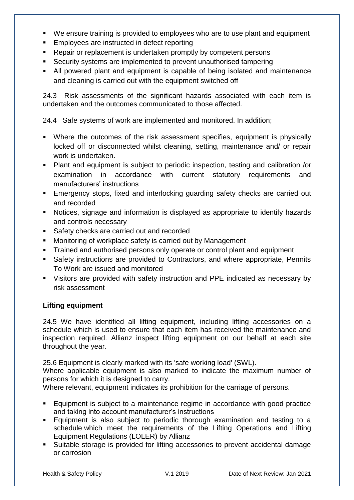- We ensure training is provided to employees who are to use plant and equipment
- **Employees are instructed in defect reporting**
- **EXECT** Repair or replacement is undertaken promptly by competent persons
- Security systems are implemented to prevent unauthorised tampering
- All powered plant and equipment is capable of being isolated and maintenance and cleaning is carried out with the equipment switched off

24.3 Risk assessments of the significant hazards associated with each item is undertaken and the outcomes communicated to those affected.

24.4 Safe systems of work are implemented and monitored. In addition;

- Where the outcomes of the risk assessment specifies, equipment is physically locked off or disconnected whilst cleaning, setting, maintenance and/ or repair work is undertaken.
- Plant and equipment is subject to periodic inspection, testing and calibration /or examination in accordance with current statutory requirements and manufacturers' instructions
- Emergency stops, fixed and interlocking guarding safety checks are carried out and recorded
- Notices, signage and information is displayed as appropriate to identify hazards and controls necessary
- Safety checks are carried out and recorded
- **Monitoring of workplace safety is carried out by Management**
- Trained and authorised persons only operate or control plant and equipment
- Safety instructions are provided to Contractors, and where appropriate, Permits To Work are issued and monitored
- Visitors are provided with safety instruction and PPE indicated as necessary by risk assessment

# **Lifting equipment**

24.5 We have identified all lifting equipment, including lifting accessories on a schedule which is used to ensure that each item has received the maintenance and inspection required. Allianz inspect lifting equipment on our behalf at each site throughout the year.

25.6 Equipment is clearly marked with its 'safe working load' (SWL).

Where applicable equipment is also marked to indicate the maximum number of persons for which it is designed to carry.

Where relevant, equipment indicates its prohibition for the carriage of persons.

- Equipment is subject to a maintenance regime in accordance with good practice and taking into account manufacturer's instructions
- Equipment is also subject to periodic thorough examination and testing to a schedule which meet the requirements of the Lifting Operations and Lifting Equipment Regulations (LOLER) by Allianz
- Suitable storage is provided for lifting accessories to prevent accidental damage or corrosion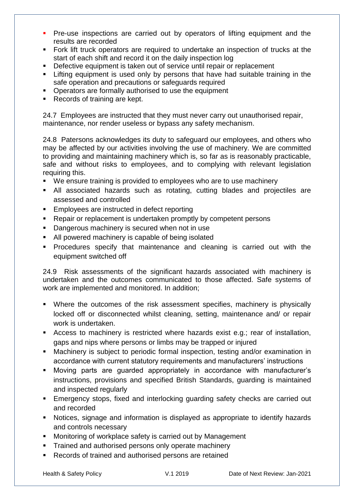- **Pre-use inspections are carried out by operators of lifting equipment and the** results are recorded
- Fork lift truck operators are required to undertake an inspection of trucks at the start of each shift and record it on the daily inspection log
- **Defective equipment is taken out of service until repair or replacement**
- **EXT** Lifting equipment is used only by persons that have had suitable training in the safe operation and precautions or safeguards required
- **Operators are formally authorised to use the equipment**
- Records of training are kept.

24.7 Employees are instructed that they must never carry out unauthorised repair, maintenance, nor render useless or bypass any safety mechanism.

24.8 Patersons acknowledges its duty to safeguard our employees, and others who may be affected by our activities involving the use of machinery. We are committed to providing and maintaining machinery which is, so far as is reasonably practicable, safe and without risks to employees, and to complying with relevant legislation requiring this.

- We ensure training is provided to employees who are to use machinery
- All associated hazards such as rotating, cutting blades and projectiles are assessed and controlled
- **Employees are instructed in defect reporting**
- **EXECT** Repair or replacement is undertaken promptly by competent persons
- **Dangerous machinery is secured when not in use**
- All powered machinery is capable of being isolated
- **Procedures specify that maintenance and cleaning is carried out with the** equipment switched off

24.9 Risk assessments of the significant hazards associated with machinery is undertaken and the outcomes communicated to those affected. Safe systems of work are implemented and monitored. In addition;

- Where the outcomes of the risk assessment specifies, machinery is physically locked off or disconnected whilst cleaning, setting, maintenance and/ or repair work is undertaken.
- Access to machinery is restricted where hazards exist e.g.; rear of installation, gaps and nips where persons or limbs may be trapped or injured
- Machinery is subject to periodic formal inspection, testing and/or examination in accordance with current statutory requirements and manufacturers' instructions
- Moving parts are guarded appropriately in accordance with manufacturer's instructions, provisions and specified British Standards, guarding is maintained and inspected regularly
- Emergency stops, fixed and interlocking guarding safety checks are carried out and recorded
- Notices, signage and information is displayed as appropriate to identify hazards and controls necessary
- **Monitoring of workplace safety is carried out by Management**
- **Trained and authorised persons only operate machinery**
- Records of trained and authorised persons are retained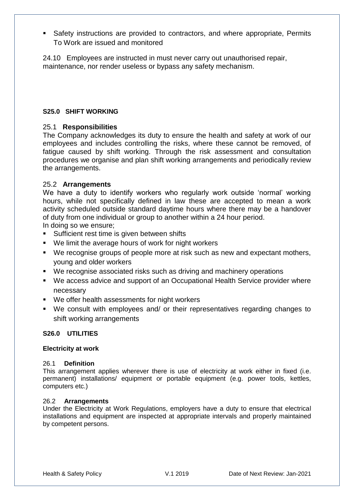Safety instructions are provided to contractors, and where appropriate, Permits To Work are issued and monitored

24.10 Employees are instructed in must never carry out unauthorised repair, maintenance, nor render useless or bypass any safety mechanism.

### **S25.0 SHIFT WORKING**

### 25.1 **Responsibilities**

The Company acknowledges its duty to ensure the health and safety at work of our employees and includes controlling the risks, where these cannot be removed, of fatigue caused by shift working. Through the risk assessment and consultation procedures we organise and plan shift working arrangements and periodically review the arrangements.

### 25.2 **Arrangements**

We have a duty to identify workers who regularly work outside 'normal' working hours, while not specifically defined in law these are accepted to mean a work activity scheduled outside standard daytime hours where there may be a handover of duty from one individual or group to another within a 24 hour period.

In doing so we ensure;

- **Sufficient rest time is given between shifts**
- We limit the average hours of work for night workers
- We recognise groups of people more at risk such as new and expectant mothers, young and older workers
- We recognise associated risks such as driving and machinery operations
- We access advice and support of an Occupational Health Service provider where necessary
- We offer health assessments for night workers
- We consult with employees and/ or their representatives regarding changes to shift working arrangements

### **S26.0 UTILITIES**

### **Electricity at work**

#### 26.1 **Definition**

This arrangement applies wherever there is use of electricity at work either in fixed (i.e. permanent) installations/ equipment or portable equipment (e.g. power tools, kettles, computers etc.)

#### 26.2 **Arrangements**

Under the Electricity at Work Regulations, employers have a duty to ensure that electrical installations and equipment are inspected at appropriate intervals and properly maintained by competent persons.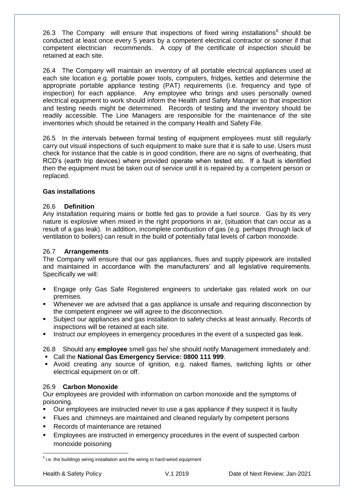26.3 The Company will ensure that inspections of fixed wiring installations $6$  should be conducted at least once every 5 years by a competent electrical contractor or sooner if that competent electrician recommends. A copy of the certificate of inspection should be retained at each site.

26.4 The Company will maintain an inventory of all portable electrical appliances used at each site location e.g. portable power tools, computers, fridges, kettles and determine the appropriate portable appliance testing (PAT) requirements (i.e. frequency and type of inspection) for each appliance. Any employee who brings and uses personally owned electrical equipment to work should inform the Health and Safety Manager so that inspection and testing needs might be determined. Records of testing and the inventory should be readily accessible. The Line Managers are responsible for the maintenance of the site inventories which should be retained in the company Health and Safety File.

26.5 In the intervals between formal testing of equipment employees must still regularly carry out visual inspections of such equipment to make sure that it is safe to use. Users must check for instance that the cable is in good condition, there are no signs of overheating, that RCD's (earth trip devices) where provided operate when tested etc. If a fault is identified then the equipment must be taken out of service until it is repaired by a competent person or replaced.

### **Gas installations**

### 26.6 **Definition**

Any installation requiring mains or bottle fed gas to provide a fuel source. Gas by its very nature is explosive when mixed in the right proportions in air, (situation that can occur as a result of a gas leak). In addition, incomplete combustion of gas (e.g. perhaps through lack of ventilation to boilers) can result in the build of potentially fatal levels of carbon monoxide.

#### 26.7 **Arrangements**

The Company will ensure that our gas appliances, flues and supply pipework are installed and maintained in accordance with the manufacturers' and all legislative requirements. Specifically we will:

- Engage only Gas Safe Registered engineers to undertake gas related work on our premises.
- Whenever we are advised that a gas appliance is unsafe and requiring disconnection by the competent engineer we will agree to the disconnection.
- Subject our appliances and gas installation to safety checks at least annually. Records of inspections will be retained at each site.
- **Instruct our employees in emergency procedures in the event of a suspected gas leak.**

26.8 Should any **employee** smell gas he/ she should notify Management immediately and:

- Call the **National Gas Emergency Service: 0800 111 999**.
- Avoid creating any source of ignition, e.g. naked flames, switching lights or other electrical equipment on or off.

### 26.9 **Carbon Monoxide**

Our employees are provided with information on carbon monoxide and the symptoms of poisoning.

- Our employees are instructed never to use a gas appliance if they suspect it is faulty
- Flues and chimneys are maintained and cleaned regularly by competent persons
- Records of maintenance are retained
- Employees are instructed in emergency procedures in the event of suspected carbon monoxide poisoning

 6 i.e. the buildings wiring installation and the wiring to hard-wired equipment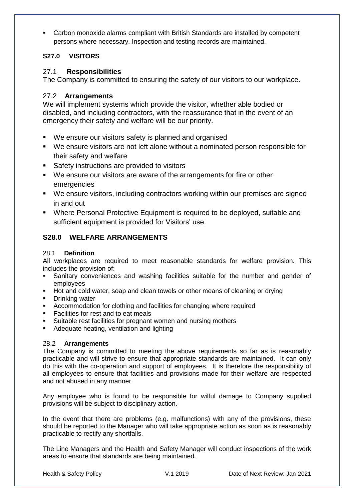Carbon monoxide alarms compliant with British Standards are installed by competent persons where necessary. Inspection and testing records are maintained.

# **S27.0 VISITORS**

# 27.1 **Responsibilities**

The Company is committed to ensuring the safety of our visitors to our workplace.

# 27.2 **Arrangements**

We will implement systems which provide the visitor, whether able bodied or disabled, and including contractors, with the reassurance that in the event of an emergency their safety and welfare will be our priority.

- We ensure our visitors safety is planned and organised
- We ensure visitors are not left alone without a nominated person responsible for their safety and welfare
- **Safety instructions are provided to visitors**
- We ensure our visitors are aware of the arrangements for fire or other emergencies
- We ensure visitors, including contractors working within our premises are signed in and out
- Where Personal Protective Equipment is required to be deployed, suitable and sufficient equipment is provided for Visitors' use.

# **S28.0 WELFARE ARRANGEMENTS**

# 28.1 **Definition**

All workplaces are required to meet reasonable standards for welfare provision. This includes the provision of:

- Sanitary conveniences and washing facilities suitable for the number and gender of employees
- Hot and cold water, soap and clean towels or other means of cleaning or drying
- **•** Drinking water
- Accommodation for clothing and facilities for changing where required
- **Facilities for rest and to eat meals**
- **Suitable rest facilities for pregnant women and nursing mothers**
- Adequate heating, ventilation and lighting

### 28.2 **Arrangements**

The Company is committed to meeting the above requirements so far as is reasonably practicable and will strive to ensure that appropriate standards are maintained. It can only do this with the co-operation and support of employees. It is therefore the responsibility of all employees to ensure that facilities and provisions made for their welfare are respected and not abused in any manner.

Any employee who is found to be responsible for wilful damage to Company supplied provisions will be subject to disciplinary action.

In the event that there are problems (e.g. malfunctions) with any of the provisions, these should be reported to the Manager who will take appropriate action as soon as is reasonably practicable to rectify any shortfalls.

The Line Managers and the Health and Safety Manager will conduct inspections of the work areas to ensure that standards are being maintained.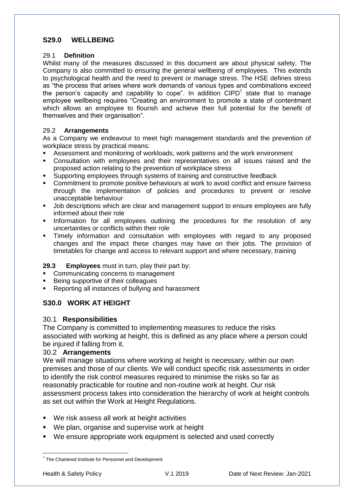# **S29.0 WELLBEING**

### 29.1 **Definition**

Whilst many of the measures discussed in this document are about physical safety, The Company is also committed to ensuring the general wellbeing of employees. This extends to psychological health and the need to prevent or manage stress. The HSE defines stress as "the process that arises where work demands of various types and combinations exceed the person's capacity and capability to cope". In addition  $CIPD<sup>7</sup>$  state that to manage employee wellbeing requires "Creating an environment to promote a state of contentment which allows an employee to flourish and achieve their full potential for the benefit of themselves and their organisation".

### 29.2 **Arrangements**

As a Company we endeavour to meet high management standards and the prevention of workplace stress by practical means:

- Assessment and monitoring of workloads, work patterns and the work environment
- Consultation with employees and their representatives on all issues raised and the proposed action relating to the prevention of workplace stress
- Supporting employees through systems of training and constructive feedback
- Commitment to promote positive behaviours at work to avoid conflict and ensure fairness through the implementation of policies and procedures to prevent or resolve unacceptable behaviour
- **Job descriptions which are clear and management support to ensure employees are fully** informed about their role
- Information for all employees outlining the procedures for the resolution of any uncertainties or conflicts within their role
- Timely information and consultation with employees with regard to any proposed changes and the impact these changes may have on their jobs. The provision of timetables for change and access to relevant support and where necessary, training

### **29.3 Employees** must in turn, play their part by:

- Communicating concerns to management
- Being supportive of their colleagues
- Reporting all instances of bullying and harassment

# **S30.0 WORK AT HEIGHT**

### 30.1 **Responsibilities**

The Company is committed to implementing measures to reduce the risks associated with working at height, this is defined as any place where a person could be injured if falling from it.

#### 30.2 **Arrangements**

We will manage situations where working at height is necessary, within our own premises and those of our clients. We will conduct specific risk assessments in order to identify the risk control measures required to minimise the risks so far as reasonably practicable for routine and non-routine work at height. Our risk assessment process takes into consideration the hierarchy of work at height controls as set out within the Work at Height Regulations.

- We risk assess all work at height activities
- We plan, organise and supervise work at height
- We ensure appropriate work equipment is selected and used correctly

 7 The Chartered Institute for Personnel and Development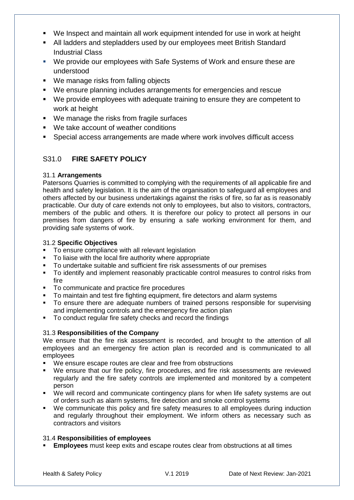- We Inspect and maintain all work equipment intended for use in work at height
- All ladders and stepladders used by our employees meet British Standard Industrial Class
- We provide our employees with Safe Systems of Work and ensure these are understood
- We manage risks from falling objects
- We ensure planning includes arrangements for emergencies and rescue
- We provide employees with adequate training to ensure they are competent to work at height
- We manage the risks from fragile surfaces
- We take account of weather conditions
- Special access arrangements are made where work involves difficult access

# S31.0 **FIRE SAFETY POLICY**

### 31.1 **Arrangements**

Patersons Quarries is committed to complying with the requirements of all applicable fire and health and safety legislation. It is the aim of the organisation to safeguard all employees and others affected by our business undertakings against the risks of fire, so far as is reasonably practicable. Our duty of care extends not only to employees, but also to visitors, contractors, members of the public and others. It is therefore our policy to protect all persons in our premises from dangers of fire by ensuring a safe working environment for them, and providing safe systems of work.

### 31.2 **Specific Objectives**

- To ensure compliance with all relevant legislation
- To liaise with the local fire authority where appropriate
- To undertake suitable and sufficient fire risk assessments of our premises
- To identify and implement reasonably practicable control measures to control risks from fire
- To communicate and practice fire procedures
- To maintain and test fire fighting equipment, fire detectors and alarm systems
- To ensure there are adequate numbers of trained persons responsible for supervising and implementing controls and the emergency fire action plan
- To conduct regular fire safety checks and record the findings

### 31.3 **Responsibilities of the Company**

We ensure that the fire risk assessment is recorded, and brought to the attention of all employees and an emergency fire action plan is recorded and is communicated to all employees

- We ensure escape routes are clear and free from obstructions
- We ensure that our fire policy, fire procedures, and fire risk assessments are reviewed regularly and the fire safety controls are implemented and monitored by a competent person
- We will record and communicate contingency plans for when life safety systems are out of orders such as alarm systems, fire detection and smoke control systems
- We communicate this policy and fire safety measures to all employees during induction and regularly throughout their employment. We inform others as necessary such as contractors and visitors

### 31.4 **Responsibilities of employees**

**Employees** must keep exits and escape routes clear from obstructions at all times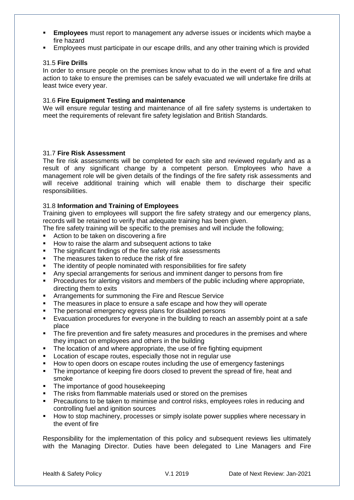- **Employees** must report to management any adverse issues or incidents which maybe a fire hazard
- Employees must participate in our escape drills, and any other training which is provided

#### 31.5 **Fire Drills**

In order to ensure people on the premises know what to do in the event of a fire and what action to take to ensure the premises can be safely evacuated we will undertake fire drills at least twice every year.

#### 31.6 **Fire Equipment Testing and maintenance**

We will ensure regular testing and maintenance of all fire safety systems is undertaken to meet the requirements of relevant fire safety legislation and British Standards.

### 31.7 **Fire Risk Assessment**

The fire risk assessments will be completed for each site and reviewed regularly and as a result of any significant change by a competent person. Employees who have a management role will be given details of the findings of the fire safety risk assessments and will receive additional training which will enable them to discharge their specific responsibilities.

#### 31.8 **Information and Training of Employees**

Training given to employees will support the fire safety strategy and our emergency plans, records will be retained to verify that adequate training has been given.

The fire safety training will be specific to the premises and will include the following;

- Action to be taken on discovering a fire
- How to raise the alarm and subsequent actions to take
- The significant findings of the fire safety risk assessments
- The measures taken to reduce the risk of fire
- The identity of people nominated with responsibilities for fire safety
- Any special arrangements for serious and imminent danger to persons from fire
- **Procedures for alerting visitors and members of the public including where appropriate,** directing them to exits
- **EXTERN** Arrangements for summoning the Fire and Rescue Service
- The measures in place to ensure a safe escape and how they will operate
- The personal emergency egress plans for disabled persons
- Evacuation procedures for everyone in the building to reach an assembly point at a safe place
- The fire prevention and fire safety measures and procedures in the premises and where they impact on employees and others in the building
- The location of and where appropriate, the use of fire fighting equipment
- **Location of escape routes, especially those not in regular use**
- How to open doors on escape routes including the use of emergency fastenings
- The importance of keeping fire doors closed to prevent the spread of fire, heat and smoke
- The importance of good housekeeping
- The risks from flammable materials used or stored on the premises
- Precautions to be taken to minimise and control risks, employees roles in reducing and controlling fuel and ignition sources
- How to stop machinery, processes or simply isolate power supplies where necessary in the event of fire

Responsibility for the implementation of this policy and subsequent reviews lies ultimately with the Managing Director. Duties have been delegated to Line Managers and Fire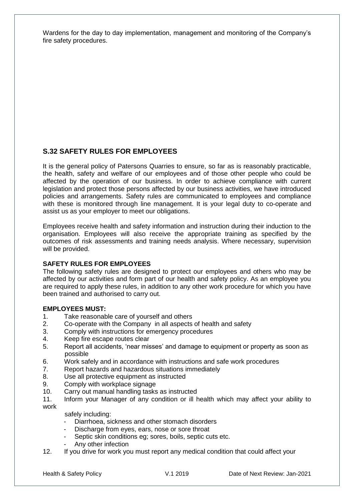Wardens for the day to day implementation, management and monitoring of the Company's fire safety procedures.

# **S.32 SAFETY RULES FOR EMPLOYEES**

It is the general policy of Patersons Quarries to ensure, so far as is reasonably practicable, the health, safety and welfare of our employees and of those other people who could be affected by the operation of our business. In order to achieve compliance with current legislation and protect those persons affected by our business activities, we have introduced policies and arrangements. Safety rules are communicated to employees and compliance with these is monitored through line management. It is your legal duty to co-operate and assist us as your employer to meet our obligations.

Employees receive health and safety information and instruction during their induction to the organisation. Employees will also receive the appropriate training as specified by the outcomes of risk assessments and training needs analysis. Where necessary, supervision will be provided.

# **SAFETY RULES FOR EMPLOYEES**

The following safety rules are designed to protect our employees and others who may be affected by our activities and form part of our health and safety policy. As an employee you are required to apply these rules, in addition to any other work procedure for which you have been trained and authorised to carry out.

### **EMPLOYEES MUST:**

- 1. Take reasonable care of yourself and others
- 2. Co-operate with the Company in all aspects of health and safety
- 3. Comply with instructions for emergency procedures
- 4. Keep fire escape routes clear
- 5. Report all accidents, 'near misses' and damage to equipment or property as soon as possible
- 6. Work safely and in accordance with instructions and safe work procedures
- 7. Report hazards and hazardous situations immediately
- 8. Use all protective equipment as instructed
- 9. Comply with workplace signage
- 10. Carry out manual handling tasks as instructed
- 11. Inform your Manager of any condition or ill health which may affect your ability to work

safely including:

- Diarrhoea, sickness and other stomach disorders
- Discharge from eyes, ears, nose or sore throat
- Septic skin conditions eg; sores, boils, septic cuts etc.
- Any other infection
- 12. If you drive for work you must report any medical condition that could affect your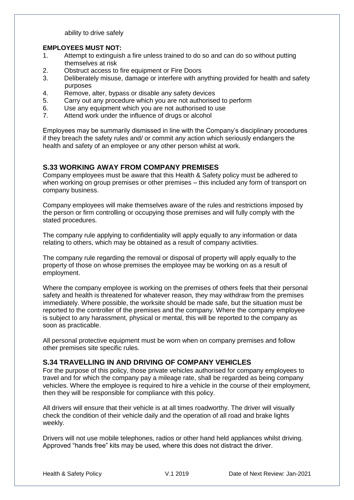ability to drive safely

#### **EMPLOYEES MUST NOT:**

- 1. Attempt to extinguish a fire unless trained to do so and can do so without putting themselves at risk
- 2. Obstruct access to fire equipment or Fire Doors
- 3. Deliberately misuse, damage or interfere with anything provided for health and safety purposes
- 4. Remove, alter, bypass or disable any safety devices
- 5. Carry out any procedure which you are not authorised to perform
- 6. Use any equipment which you are not authorised to use
- 7. Attend work under the influence of drugs or alcohol

Employees may be summarily dismissed in line with the Company's disciplinary procedures if they breach the safety rules and/ or commit any action which seriously endangers the health and safety of an employee or any other person whilst at work.

### **S.33 WORKING AWAY FROM COMPANY PREMISES**

Company employees must be aware that this Health & Safety policy must be adhered to when working on group premises or other premises – this included any form of transport on company business.

Company employees will make themselves aware of the rules and restrictions imposed by the person or firm controlling or occupying those premises and will fully comply with the stated procedures.

The company rule applying to confidentiality will apply equally to any information or data relating to others, which may be obtained as a result of company activities.

The company rule regarding the removal or disposal of property will apply equally to the property of those on whose premises the employee may be working on as a result of employment.

Where the company employee is working on the premises of others feels that their personal safety and health is threatened for whatever reason, they may withdraw from the premises immediately. Where possible, the worksite should be made safe, but the situation must be reported to the controller of the premises and the company. Where the company employee is subject to any harassment, physical or mental, this will be reported to the company as soon as practicable.

All personal protective equipment must be worn when on company premises and follow other premises site specific rules.

### **S.34 TRAVELLING IN AND DRIVING OF COMPANY VEHICLES**

For the purpose of this policy, those private vehicles authorised for company employees to travel and for which the company pay a mileage rate, shall be regarded as being company vehicles. Where the employee is required to hire a vehicle in the course of their employment, then they will be responsible for compliance with this policy.

All drivers will ensure that their vehicle is at all times roadworthy. The driver will visually check the condition of their vehicle daily and the operation of all road and brake lights weekly.

Drivers will not use mobile telephones, radios or other hand held appliances whilst driving. Approved "hands free" kits may be used, where this does not distract the driver.